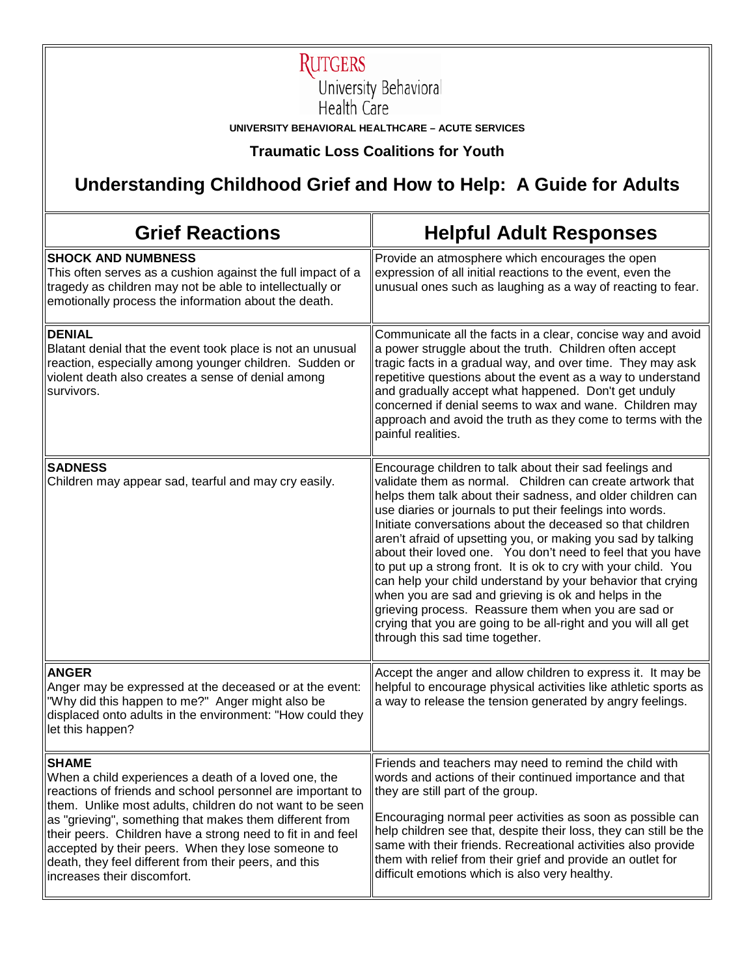

**RUTGERS**<br>University Behavioral<br>Health Care

**UNIVERSITY BEHAVIORAL HEALTHCARE – ACUTE SERVICES**

**Traumatic Loss Coalitions for Youth**

## **Understanding Childhood Grief and How to Help: A Guide for Adults**

| <b>Grief Reactions</b>                                                                                                                                                                                                                                                                                                                                                                                                                                                  | <b>Helpful Adult Responses</b>                                                                                                                                                                                                                                                                                                                                                                                                                                                                                                                                                                                                                                                                                                                                                                     |
|-------------------------------------------------------------------------------------------------------------------------------------------------------------------------------------------------------------------------------------------------------------------------------------------------------------------------------------------------------------------------------------------------------------------------------------------------------------------------|----------------------------------------------------------------------------------------------------------------------------------------------------------------------------------------------------------------------------------------------------------------------------------------------------------------------------------------------------------------------------------------------------------------------------------------------------------------------------------------------------------------------------------------------------------------------------------------------------------------------------------------------------------------------------------------------------------------------------------------------------------------------------------------------------|
| <b>SHOCK AND NUMBNESS</b><br>This often serves as a cushion against the full impact of a<br>tragedy as children may not be able to intellectually or<br>emotionally process the information about the death.                                                                                                                                                                                                                                                            | Provide an atmosphere which encourages the open<br>expression of all initial reactions to the event, even the<br>unusual ones such as laughing as a way of reacting to fear.                                                                                                                                                                                                                                                                                                                                                                                                                                                                                                                                                                                                                       |
| <b>DENIAL</b><br>Blatant denial that the event took place is not an unusual<br>reaction, especially among younger children. Sudden or<br>violent death also creates a sense of denial among<br>survivors.                                                                                                                                                                                                                                                               | Communicate all the facts in a clear, concise way and avoid<br>a power struggle about the truth. Children often accept<br>tragic facts in a gradual way, and over time. They may ask<br>repetitive questions about the event as a way to understand<br>and gradually accept what happened. Don't get unduly<br>concerned if denial seems to wax and wane. Children may<br>approach and avoid the truth as they come to terms with the<br>painful realities.                                                                                                                                                                                                                                                                                                                                        |
| <b>SADNESS</b><br>Children may appear sad, tearful and may cry easily.                                                                                                                                                                                                                                                                                                                                                                                                  | Encourage children to talk about their sad feelings and<br>validate them as normal. Children can create artwork that<br>helps them talk about their sadness, and older children can<br>use diaries or journals to put their feelings into words.<br>Initiate conversations about the deceased so that children<br>aren't afraid of upsetting you, or making you sad by talking<br>about their loved one. You don't need to feel that you have<br>to put up a strong front. It is ok to cry with your child. You<br>can help your child understand by your behavior that crying<br>when you are sad and grieving is ok and helps in the<br>grieving process. Reassure them when you are sad or<br>crying that you are going to be all-right and you will all get<br>through this sad time together. |
| <b>ANGER</b><br>Anger may be expressed at the deceased or at the event:<br>"Why did this happen to me?" Anger might also be<br>displaced onto adults in the environment: "How could they<br>let this happen?                                                                                                                                                                                                                                                            | Accept the anger and allow children to express it. It may be<br>helpful to encourage physical activities like athletic sports as<br>a way to release the tension generated by angry feelings.                                                                                                                                                                                                                                                                                                                                                                                                                                                                                                                                                                                                      |
| <b>SHAME</b><br>When a child experiences a death of a loved one, the<br>reactions of friends and school personnel are important to<br>them. Unlike most adults, children do not want to be seen<br>as "grieving", something that makes them different from<br>their peers. Children have a strong need to fit in and feel<br>accepted by their peers. When they lose someone to<br>death, they feel different from their peers, and this<br>increases their discomfort. | Friends and teachers may need to remind the child with<br>words and actions of their continued importance and that<br>they are still part of the group.<br>Encouraging normal peer activities as soon as possible can<br>help children see that, despite their loss, they can still be the<br>same with their friends. Recreational activities also provide<br>them with relief from their grief and provide an outlet for<br>difficult emotions which is also very healthy.                                                                                                                                                                                                                                                                                                                       |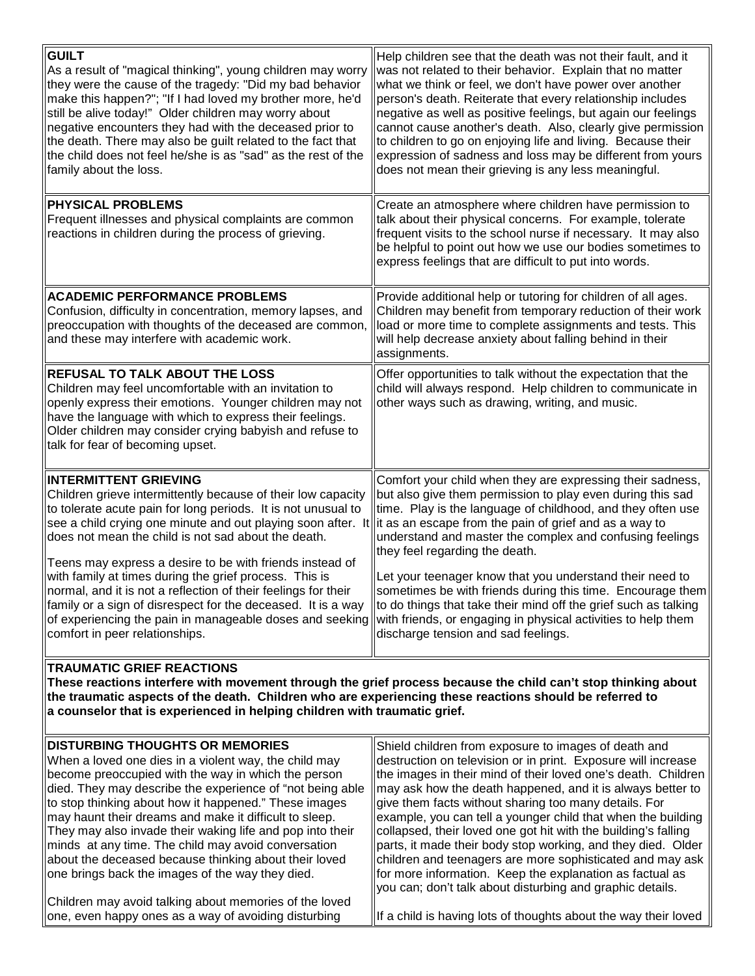| <b>GUILT</b><br>As a result of "magical thinking", young children may worry<br>they were the cause of the tragedy: "Did my bad behavior<br>make this happen?"; "If I had loved my brother more, he'd<br>still be alive today!" Older children may worry about<br>negative encounters they had with the deceased prior to<br>the death. There may also be guilt related to the fact that<br>the child does not feel he/she is as "sad" as the rest of the<br>family about the loss.                                                                                                                                                                                                                                                                                                                                                 | Help children see that the death was not their fault, and it<br>was not related to their behavior. Explain that no matter<br>what we think or feel, we don't have power over another<br>person's death. Reiterate that every relationship includes<br>negative as well as positive feelings, but again our feelings<br>cannot cause another's death. Also, clearly give permission<br>to children to go on enjoying life and living. Because their<br>expression of sadness and loss may be different from yours<br>does not mean their grieving is any less meaningful.     |  |
|------------------------------------------------------------------------------------------------------------------------------------------------------------------------------------------------------------------------------------------------------------------------------------------------------------------------------------------------------------------------------------------------------------------------------------------------------------------------------------------------------------------------------------------------------------------------------------------------------------------------------------------------------------------------------------------------------------------------------------------------------------------------------------------------------------------------------------|------------------------------------------------------------------------------------------------------------------------------------------------------------------------------------------------------------------------------------------------------------------------------------------------------------------------------------------------------------------------------------------------------------------------------------------------------------------------------------------------------------------------------------------------------------------------------|--|
| <b>PHYSICAL PROBLEMS</b><br>Frequent illnesses and physical complaints are common<br>reactions in children during the process of grieving.                                                                                                                                                                                                                                                                                                                                                                                                                                                                                                                                                                                                                                                                                         | Create an atmosphere where children have permission to<br>talk about their physical concerns. For example, tolerate<br>frequent visits to the school nurse if necessary. It may also<br>be helpful to point out how we use our bodies sometimes to<br>express feelings that are difficult to put into words.                                                                                                                                                                                                                                                                 |  |
| <b>ACADEMIC PERFORMANCE PROBLEMS</b><br>Confusion, difficulty in concentration, memory lapses, and<br>preoccupation with thoughts of the deceased are common,<br>and these may interfere with academic work.                                                                                                                                                                                                                                                                                                                                                                                                                                                                                                                                                                                                                       | Provide additional help or tutoring for children of all ages.<br>Children may benefit from temporary reduction of their work<br>load or more time to complete assignments and tests. This<br>will help decrease anxiety about falling behind in their<br>assignments.                                                                                                                                                                                                                                                                                                        |  |
| <b>REFUSAL TO TALK ABOUT THE LOSS</b><br>Children may feel uncomfortable with an invitation to<br>openly express their emotions. Younger children may not<br>have the language with which to express their feelings.<br>Older children may consider crying babyish and refuse to<br>talk for fear of becoming upset.                                                                                                                                                                                                                                                                                                                                                                                                                                                                                                               | Offer opportunities to talk without the expectation that the<br>child will always respond. Help children to communicate in<br>other ways such as drawing, writing, and music.                                                                                                                                                                                                                                                                                                                                                                                                |  |
| <b>INTERMITTENT GRIEVING</b><br>Children grieve intermittently because of their low capacity<br>to tolerate acute pain for long periods. It is not unusual to<br>see a child crying one minute and out playing soon after. It lit as an escape from the pain of grief and as a way to<br>does not mean the child is not sad about the death.<br>Teens may express a desire to be with friends instead of<br>with family at times during the grief process. This is<br>normal, and it is not a reflection of their feelings for their<br>∥family or a sign of disrespect for the deceased. It is a way ∥to do things that take their mind off the grief such as talking<br>of experiencing the pain in manageable doses and seeking with friends, or engaging in physical activities to help them<br>comfort in peer relationships. | Comfort your child when they are expressing their sadness,<br>but also give them permission to play even during this sad<br>time. Play is the language of childhood, and they often use<br>understand and master the complex and confusing feelings<br>they feel regarding the death.<br>Let your teenager know that you understand their need to<br>sometimes be with friends during this time. Encourage them<br>discharge tension and sad feelings.                                                                                                                       |  |
| <b>TRAUMATIC GRIEF REACTIONS</b><br>These reactions interfere with movement through the grief process because the child can't stop thinking about<br>the traumatic aspects of the death. Children who are experiencing these reactions should be referred to<br>a counselor that is experienced in helping children with traumatic grief.                                                                                                                                                                                                                                                                                                                                                                                                                                                                                          |                                                                                                                                                                                                                                                                                                                                                                                                                                                                                                                                                                              |  |
| <b>DISTURBING THOUGHTS OR MEMORIES</b><br>When a loved one dies in a violent way, the child may<br>become preoccupied with the way in which the person<br>died. They may describe the experience of "not being able<br>to stop thinking about how it happened." These images<br>may haunt their dreams and make it difficult to sleep.<br>They may also invade their waking life and pop into their<br>minds at any time. The child may avoid conversation<br>about the deceased because thinking about their loved                                                                                                                                                                                                                                                                                                                | Shield children from exposure to images of death and<br>destruction on television or in print. Exposure will increase<br>the images in their mind of their loved one's death. Children<br>may ask how the death happened, and it is always better to<br>give them facts without sharing too many details. For<br>example, you can tell a younger child that when the building<br>collapsed, their loved one got hit with the building's falling<br>parts, it made their body stop working, and they died. Older<br>children and teenagers are more sophisticated and may ask |  |

Children may avoid talking about memories of the loved one, even happy ones as a way of avoiding disturbing you can; don't talk about disturbing and graphic details. If a child is having lots of thoughts about the way their loved

for more information. Keep the explanation as factual as

one brings back the images of the way they died.